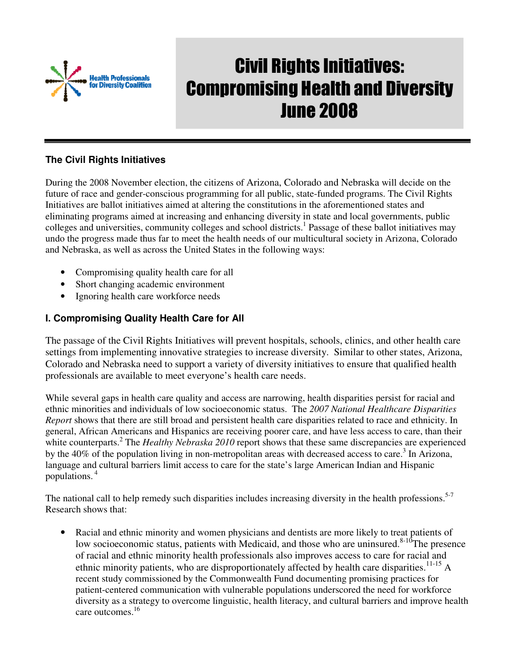

# Civil Rights Initiatives: Compromising Health and Diversity June 2008

#### **The Civil Rights Initiatives**

During the 2008 November election, the citizens of Arizona, Colorado and Nebraska will decide on the future of race and gender-conscious programming for all public, state-funded programs. The Civil Rights Initiatives are ballot initiatives aimed at altering the constitutions in the aforementioned states and eliminating programs aimed at increasing and enhancing diversity in state and local governments, public colleges and universities, community colleges and school districts.<sup>1</sup> Passage of these ballot initiatives may undo the progress made thus far to meet the health needs of our multicultural society in Arizona, Colorado and Nebraska, as well as across the United States in the following ways:

- Compromising quality health care for all
- Short changing academic environment
- Ignoring health care workforce needs

#### **I. Compromising Quality Health Care for All**

The passage of the Civil Rights Initiatives will prevent hospitals, schools, clinics, and other health care settings from implementing innovative strategies to increase diversity. Similar to other states, Arizona, Colorado and Nebraska need to support a variety of diversity initiatives to ensure that qualified health professionals are available to meet everyone's health care needs.

While several gaps in health care quality and access are narrowing, health disparities persist for racial and ethnic minorities and individuals of low socioeconomic status. The *2007 National Healthcare Disparities Report* shows that there are still broad and persistent health care disparities related to race and ethnicity. In general, African Americans and Hispanics are receiving poorer care, and have less access to care, than their white counterparts.<sup>2</sup> The *Healthy Nebraska 2010* report shows that these same discrepancies are experienced by the  $40\%$  of the population living in non-metropolitan areas with decreased access to care.<sup>3</sup> In Arizona, language and cultural barriers limit access to care for the state's large American Indian and Hispanic populations.<sup>4</sup>

The national call to help remedy such disparities includes increasing diversity in the health professions.<sup>5-7</sup> Research shows that:

Racial and ethnic minority and women physicians and dentists are more likely to treat patients of low socioeconomic status, patients with Medicaid, and those who are uninsured.<sup>8-10</sup>The presence of racial and ethnic minority health professionals also improves access to care for racial and ethnic minority patients, who are disproportionately affected by health care disparities.<sup>11-15</sup> A recent study commissioned by the Commonwealth Fund documenting promising practices for patient-centered communication with vulnerable populations underscored the need for workforce diversity as a strategy to overcome linguistic, health literacy, and cultural barriers and improve health care outcomes.<sup>16</sup>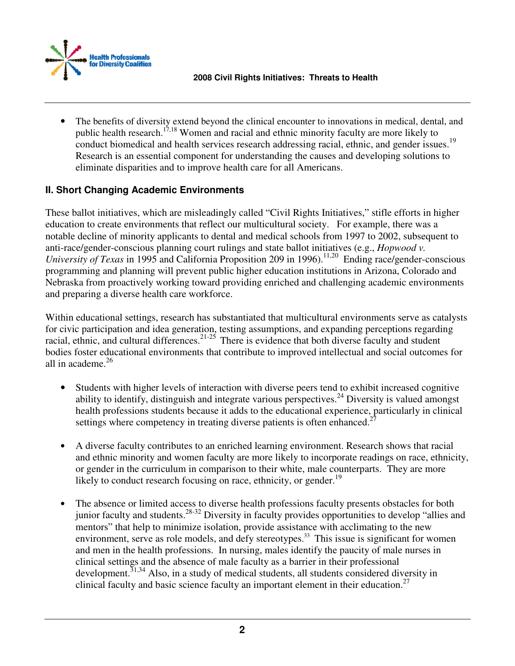

The benefits of diversity extend beyond the clinical encounter to innovations in medical, dental, and public health research.<sup>17,18</sup> Women and racial and ethnic minority faculty are more likely to conduct biomedical and health services research addressing racial, ethnic, and gender issues.<sup>19</sup> Research is an essential component for understanding the causes and developing solutions to eliminate disparities and to improve health care for all Americans.

## **II. Short Changing Academic Environments**

These ballot initiatives, which are misleadingly called "Civil Rights Initiatives," stifle efforts in higher education to create environments that reflect our multicultural society. For example, there was a notable decline of minority applicants to dental and medical schools from 1997 to 2002, subsequent to anti-race/gender-conscious planning court rulings and state ballot initiatives (e.g., *Hopwood v. University of Texas* in 1995 and California Proposition 209 in 1996).<sup>11,20</sup> Ending race/gender-conscious programming and planning will prevent public higher education institutions in Arizona, Colorado and Nebraska from proactively working toward providing enriched and challenging academic environments and preparing a diverse health care workforce.

Within educational settings, research has substantiated that multicultural environments serve as catalysts for civic participation and idea generation, testing assumptions, and expanding perceptions regarding racial, ethnic, and cultural differences.<sup>21-25</sup> There is evidence that both diverse faculty and student bodies foster educational environments that contribute to improved intellectual and social outcomes for all in academe.<sup>26</sup>

- Students with higher levels of interaction with diverse peers tend to exhibit increased cognitive ability to identify, distinguish and integrate various perspectives.<sup>24</sup> Diversity is valued amongst health professions students because it adds to the educational experience, particularly in clinical settings where competency in treating diverse patients is often enhanced.<sup>2</sup>
- A diverse faculty contributes to an enriched learning environment. Research shows that racial and ethnic minority and women faculty are more likely to incorporate readings on race, ethnicity, or gender in the curriculum in comparison to their white, male counterparts. They are more likely to conduct research focusing on race, ethnicity, or gender.<sup>19</sup>
- The absence or limited access to diverse health professions faculty presents obstacles for both junior faculty and students.28-32 Diversity in faculty provides opportunities to develop "allies and mentors" that help to minimize isolation, provide assistance with acclimating to the new environment, serve as role models, and defy stereotypes.<sup>33</sup> This issue is significant for women and men in the health professions. In nursing, males identify the paucity of male nurses in clinical settings and the absence of male faculty as a barrier in their professional development.<sup>31,34</sup> Also, in a study of medical students, all students considered diversity in clinical faculty and basic science faculty an important element in their education.<sup>27</sup>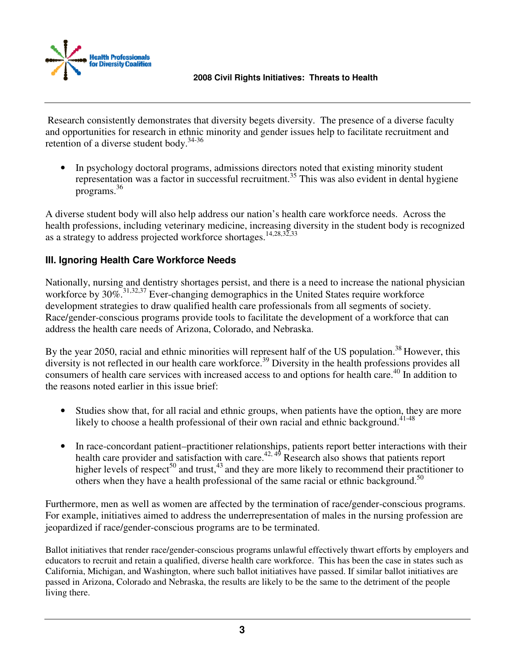

Research consistently demonstrates that diversity begets diversity. The presence of a diverse faculty and opportunities for research in ethnic minority and gender issues help to facilitate recruitment and retention of a diverse student body. $34-36$ 

• In psychology doctoral programs, admissions directors noted that existing minority student representation was a factor in successful recruitment.<sup>35</sup> This was also evident in dental hygiene programs.<sup>36</sup>

A diverse student body will also help address our nation's health care workforce needs. Across the health professions, including veterinary medicine, increasing diversity in the student body is recognized as a strategy to address projected workforce shortages.<sup>14,28,32,33</sup>

## **III. Ignoring Health Care Workforce Needs**

Nationally, nursing and dentistry shortages persist, and there is a need to increase the national physician workforce by 30%.<sup>31,32,37</sup> Ever-changing demographics in the United States require workforce development strategies to draw qualified health care professionals from all segments of society. Race/gender-conscious programs provide tools to facilitate the development of a workforce that can address the health care needs of Arizona, Colorado, and Nebraska.

By the year 2050, racial and ethnic minorities will represent half of the US population.<sup>38</sup> However, this diversity is not reflected in our health care workforce.<sup>39</sup> Diversity in the health professions provides all consumers of health care services with increased access to and options for health care.<sup>40</sup> In addition to the reasons noted earlier in this issue brief:

- Studies show that, for all racial and ethnic groups, when patients have the option, they are more likely to choose a health professional of their own racial and ethnic background.<sup>41-48</sup>
- In race-concordant patient–practitioner relationships, patients report better interactions with their health care provider and satisfaction with care.<sup>42, 49</sup> Research also shows that patients report higher levels of respect<sup>50</sup> and trust,<sup>43</sup> and they are more likely to recommend their practitioner to others when they have a health professional of the same racial or ethnic background.<sup>50</sup>

Furthermore, men as well as women are affected by the termination of race/gender-conscious programs. For example, initiatives aimed to address the underrepresentation of males in the nursing profession are jeopardized if race/gender-conscious programs are to be terminated.

Ballot initiatives that render race/gender-conscious programs unlawful effectively thwart efforts by employers and educators to recruit and retain a qualified, diverse health care workforce. This has been the case in states such as California, Michigan, and Washington, where such ballot initiatives have passed. If similar ballot initiatives are passed in Arizona, Colorado and Nebraska, the results are likely to be the same to the detriment of the people living there.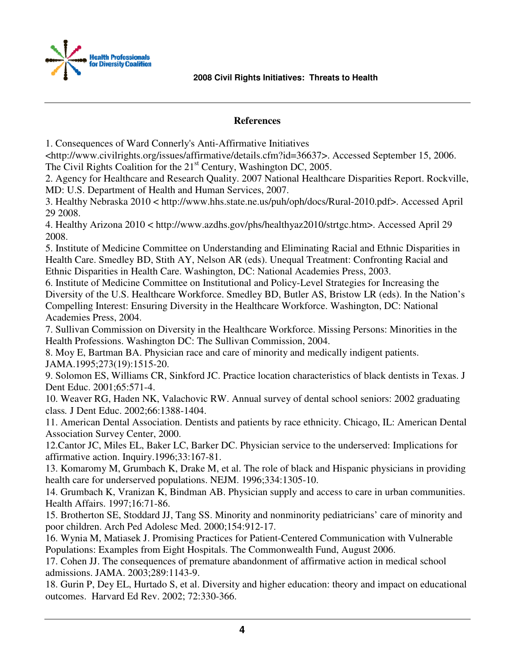

#### **References**

1. Consequences of Ward Connerly's Anti-Affirmative Initiatives

<http://www.civilrights.org/issues/affirmative/details.cfm?id=36637>. Accessed September 15, 2006. The Civil Rights Coalition for the 21<sup>st</sup> Century, Washington DC, 2005.

2. Agency for Healthcare and Research Quality. 2007 National Healthcare Disparities Report. Rockville, MD: U.S. Department of Health and Human Services, 2007.

3. Healthy Nebraska 2010 < http://www.hhs.state.ne.us/puh/oph/docs/Rural-2010.pdf>. Accessed April 29 2008.

4. Healthy Arizona 2010 < http://www.azdhs.gov/phs/healthyaz2010/strtgc.htm>. Accessed April 29 2008.

5. Institute of Medicine Committee on Understanding and Eliminating Racial and Ethnic Disparities in Health Care. Smedley BD, Stith AY, Nelson AR (eds). Unequal Treatment: Confronting Racial and Ethnic Disparities in Health Care. Washington, DC: National Academies Press, 2003.

6. Institute of Medicine Committee on Institutional and Policy-Level Strategies for Increasing the Diversity of the U.S. Healthcare Workforce. Smedley BD, Butler AS, Bristow LR (eds). In the Nation's Compelling Interest: Ensuring Diversity in the Healthcare Workforce. Washington, DC: National Academies Press, 2004.

7. Sullivan Commission on Diversity in the Healthcare Workforce. Missing Persons: Minorities in the Health Professions. Washington DC: The Sullivan Commission, 2004.

8. Moy E, Bartman BA. Physician race and care of minority and medically indigent patients. JAMA.1995;273(19):1515-20.

9. Solomon ES, Williams CR, Sinkford JC. Practice location characteristics of black dentists in Texas. J Dent Educ. 2001;65:571-4.

10. Weaver RG, Haden NK, Valachovic RW. Annual survey of dental school seniors: 2002 graduating class*.* J Dent Educ. 2002;66:1388-1404.

11. American Dental Association. Dentists and patients by race ethnicity. Chicago, IL: American Dental Association Survey Center, 2000.

12.Cantor JC, Miles EL, Baker LC, Barker DC. Physician service to the underserved: Implications for affirmative action. Inquiry.1996;33:167-81.

13. Komaromy M, Grumbach K, Drake M, et al. The role of black and Hispanic physicians in providing health care for underserved populations. NEJM. 1996;334:1305-10.

14. Grumbach K, Vranizan K, Bindman AB. Physician supply and access to care in urban communities. Health Affairs. 1997;16:71-86.

15. Brotherton SE, Stoddard JJ, Tang SS. Minority and nonminority pediatricians' care of minority and poor children. Arch Ped Adolesc Med. 2000;154:912-17.

16. Wynia M, Matiasek J. Promising Practices for Patient-Centered Communication with Vulnerable Populations: Examples from Eight Hospitals. The Commonwealth Fund, August 2006.

17. Cohen JJ. The consequences of premature abandonment of affirmative action in medical school admissions. JAMA. 2003;289:1143-9.

18. Gurin P, Dey EL, Hurtado S, et al. Diversity and higher education: theory and impact on educational outcomes.Harvard Ed Rev. 2002; 72:330-366.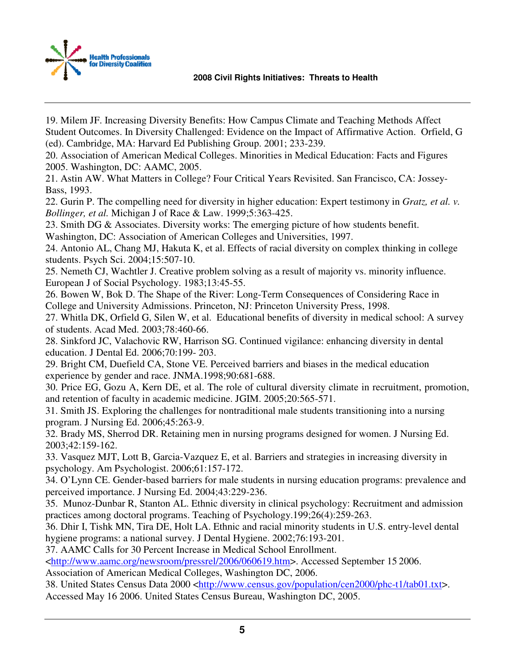



19. Milem JF. Increasing Diversity Benefits: How Campus Climate and Teaching Methods Affect Student Outcomes. In Diversity Challenged: Evidence on the Impact of Affirmative Action. Orfield, G (ed). Cambridge, MA: Harvard Ed Publishing Group. 2001; 233-239.

20. Association of American Medical Colleges. Minorities in Medical Education: Facts and Figures 2005. Washington, DC: AAMC, 2005.

21. Astin AW. What Matters in College? Four Critical Years Revisited. San Francisco, CA: Jossey-Bass, 1993.

22. Gurin P. The compelling need for diversity in higher education: Expert testimony in *Gratz, et al. v. Bollinger, et al.* Michigan J of Race & Law. 1999;5:363-425.

23. Smith DG & Associates. Diversity works: The emerging picture of how students benefit.

Washington, DC: Association of American Colleges and Universities, 1997.

24. Antonio AL, Chang MJ, Hakuta K, et al. Effects of racial diversity on complex thinking in college students. Psych Sci. 2004;15:507-10.

25. Nemeth CJ, Wachtler J. Creative problem solving as a result of majority vs. minority influence. European J of Social Psychology. 1983;13:45-55.

26. Bowen W, Bok D. The Shape of the River: Long-Term Consequences of Considering Race in College and University Admissions. Princeton, NJ: Princeton University Press, 1998.

27. Whitla DK, Orfield G, Silen W, et al. Educational benefits of diversity in medical school: A survey of students. Acad Med. 2003;78:460-66.

28. Sinkford JC, Valachovic RW, Harrison SG. Continued vigilance: enhancing diversity in dental education. J Dental Ed. 2006;70:199- 203.

29. Bright CM, Duefield CA, Stone VE. Perceived barriers and biases in the medical education experience by gender and race. JNMA.1998;90:681-688.

30. Price EG, Gozu A, Kern DE, et al. The role of cultural diversity climate in recruitment, promotion, and retention of faculty in academic medicine. JGIM. 2005;20:565-571.

31. Smith JS. Exploring the challenges for nontraditional male students transitioning into a nursing program. J Nursing Ed. 2006;45:263-9.

32. Brady MS, Sherrod DR. Retaining men in nursing programs designed for women. J Nursing Ed. 2003;42:159-162.

33. Vasquez MJT, Lott B, Garcia-Vazquez E, et al. Barriers and strategies in increasing diversity in psychology. Am Psychologist. 2006;61:157-172.

34. O'Lynn CE. Gender-based barriers for male students in nursing education programs: prevalence and perceived importance. J Nursing Ed. 2004;43:229-236.

35. Munoz-Dunbar R, Stanton AL. Ethnic diversity in clinical psychology: Recruitment and admission practices among doctoral programs. Teaching of Psychology.199;26(4):259-263.

36. Dhir I, Tishk MN, Tira DE, Holt LA. Ethnic and racial minority students in U.S. entry-level dental hygiene programs: a national survey. J Dental Hygiene. 2002;76:193-201.

37. AAMC Calls for 30 Percent Increase in Medical School Enrollment.

<http://www.aamc.org/newsroom/pressrel/2006/060619.htm>. Accessed September 15 2006.

Association of American Medical Colleges, Washington DC, 2006.

38. United States Census Data 2000 <http://www.census.gov/population/cen2000/phc-t1/tab01.txt>. Accessed May 16 2006. United States Census Bureau, Washington DC, 2005.